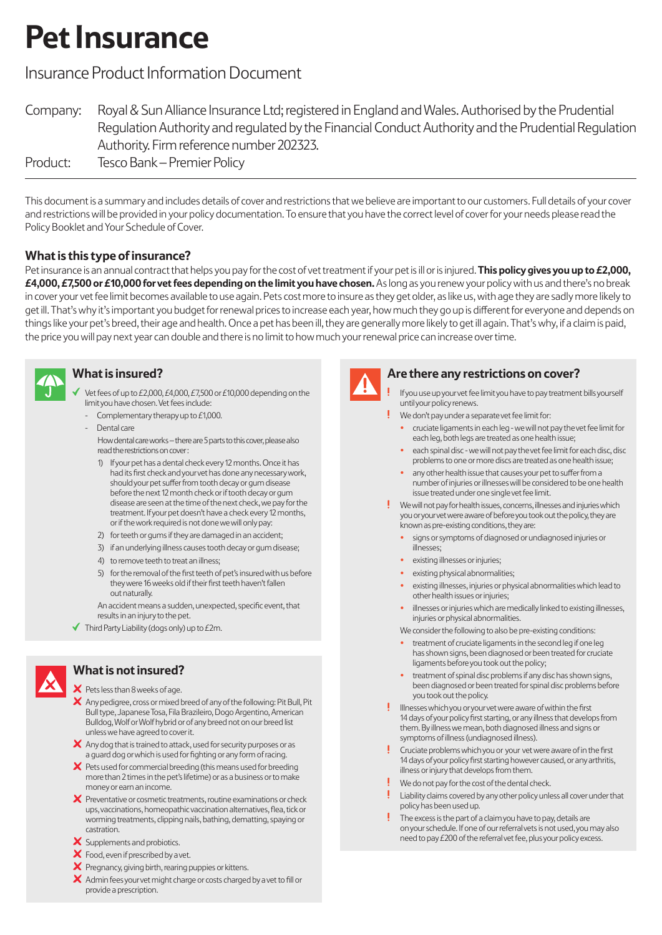# **Pet Insurance**

# Insurance Product Information Document

| Company: | Royal & Sun Alliance Insurance Ltd; registered in England and Wales. Authorised by the Prudential   |
|----------|-----------------------------------------------------------------------------------------------------|
|          | Regulation Authority and regulated by the Financial Conduct Authority and the Prudential Regulation |
|          | Authority. Firm reference number 202323.                                                            |
| Product: | Tesco Bank – Premier Policy                                                                         |

This document is a summary and includes details of cover and restrictions that we believe are important to our customers. Full details of your cover and restrictions will be provided in your policy documentation. To ensure that you have the correct level of cover for your needs please read the Policy Booklet and Your Schedule of Cover.

# **What is this type of insurance?**

Pet insurance is an annual contract that helps you pay for the cost of vet treatment if your pet is ill or is injured. **This policy gives you up to £2,000, £4,000, £7,500 or £10,000 for vet fees depending on the limit you have chosen.** As long as you renew your policy with us and there's no break in cover your vet fee limit becomes available to use again. Pets cost more to insure as they get older, as like us, with age they are sadly more likely to get ill. That's why it's important you budget for renewal prices to increase each year, how much they go up is different for everyone and depends on things like your pet's breed, their age and health. Once a pet has been ill, they are generally more likely to get ill again. That's why, if a claim is paid, the price you will pay next year can double and there is no limit to how much your renewal price can increase over time.



# **What is insured?**

 Vet fees of up to £2,000, £4,000, £7,500 or £10,000 depending on the limit you have chosen. Vet fees include:

- Complementary therapy up to £1,000.
- Dental care How dental care works – there are 5 parts to this cover, please also read the restrictions on cover :
	- 1) If your pet has a dental check every 12 months. Once it has had its first check and your vet has done any necessary work, should your pet suffer from tooth decay or gum disease before the next 12 month check or if tooth decay or gum disease are seen at the time of the next check, we pay for the treatment. If your pet doesn't have a check every 12 months, or if the work required is not done we will only pay:
	- 2) for teeth or gums if they are damaged in an accident;
	- 3) if an underlying illness causes tooth decay or gum disease;
	- 4) to remove teeth to treat an illness;
	- 5) for the removal of the first teeth of pet's insured with us before they were 16 weeks old if their first teeth haven't fallen out naturally.

An accident means a sudden, unexpected, specific event, that results in an injury to the pet.

 $\blacklozenge$  Third Party Liability (dogs only) up to £2m.



#### **What is not insured?**

X Pets less than 8 weeks of age.

- $\boldsymbol{\times}$  Any pedigree, cross or mixed breed of any of the following: Pit Bull, Pit Bull type, Japanese Tosa, Fila Brazileiro, Dogo Argentino, American Bulldog, Wolf or Wolf hybrid or of any breed not on our breed list unless we have agreed to cover it.
- $\boldsymbol{\times}$  Any dog that is trained to attack, used for security purposes or as a guard dog or which is used for fighting or any form of racing.
- $\bm{\times}$  Pets used for commercial breeding (this means used for breeding more than 2 times in the pet's lifetime) or as a business or to make money or earn an income.
- X Preventative or cosmetic treatments, routine examinations or check ups, vaccinations, homeopathic vaccination alternatives, flea, tick or worming treatments, clipping nails, bathing, dematting, spaying or castration.
- $\boldsymbol{\times}$  Supplements and probiotics.
- X Food, even if prescribed by a vet.
- $\bm{\times}$  Pregnancy, giving birth, rearing puppies or kittens.
- $\times$  Admin fees your vet might charge or costs charged by a vet to fill or provide a prescription.



## **Are there any restrictions on cover?**

- If you use up your vet fee limit you have to pay treatment bills yourself until your policy renews.
- We don't pay under a separate vet fee limit for:
- cruciate ligaments in each leg we will not pay the vet fee limit for each leg, both legs are treated as one health issue;
- each spinal disc we will not pay the vet fee limit for each disc, disc problems to one or more discs are treated as one health issue;
- any other health issue that causes your pet to suffer from a number of injuries or illnesses will be considered to be one health issue treated under one single vet fee limit.
- We will not pay for health issues, concerns, illnesses and injuries which you or your vet were aware of before you took out the policy, they are known as pre-existing conditions, they are:
	- · signs or symptoms of diagnosed or undiagnosed injuries or illnesses:
	- existing illnesses or injuries;
	- existing physical abnormalities;
	- existing illnesses, injuries or physical abnormalities which lead to other health issues or injuries:
	- illnesses or injuries which are medically linked to existing illnesses, injuries or physical abnormalities.
	- We consider the following to also be pre-existing conditions:
	- treatment of cruciate ligaments in the second leg if one leg has shown signs, been diagnosed or been treated for cruciate ligaments before you took out the policy;
	- treatment of spinal disc problems if any disc has shown signs, been diagnosed or been treated for spinal disc problems before you took out the policy.
- Illnesses which you or your vet were aware of within the first 14 days of your policy first starting, or any illness that develops from them. By illness we mean, both diagnosed illness and signs or symptoms of illness (undiagnosed illness).
- Cruciate problems which you or your vet were aware of in the first 14 days of your policy first starting however caused, or any arthritis, illness or injury that develops from them.
- We do not pay for the cost of the dental check.
- Liability claims covered by any other policy unless all cover under that policy has been used up.
- The excess is the part of a claim you have to pay, details are on your schedule. If one of our referral vets is not used, you may also need to pay £200 of the referral vet fee, plus your policy excess.